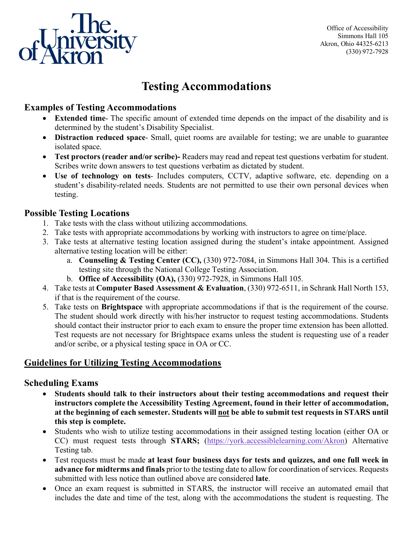

Office of Accessibility Simmons Hall 105 Akron, Ohio 44325-6213 (330) 972-7928

# **Testing Accommodations**

### **Examples of Testing Accommodations**

- **Extended time** The specific amount of extended time depends on the impact of the disability and is determined by the student's Disability Specialist.
- **Distraction reduced space** Small, quiet rooms are available for testing; we are unable to guarantee isolated space.
- **Test proctors (reader and/or scribe)-** Readers may read and repeat test questions verbatim for student. Scribes write down answers to test questions verbatim as dictated by student.
- **Use of technology on tests** Includes computers, CCTV, adaptive software, etc. depending on a student's disability-related needs. Students are not permitted to use their own personal devices when testing.

#### **Possible Testing Locations**

- 1. Take tests with the class without utilizing accommodations.
- 2. Take tests with appropriate accommodations by working with instructors to agree on time/place.
- 3. Take tests at alternative testing location assigned during the student's intake appointment. Assigned alternative testing location will be either:
	- a. **Counseling & Testing Center (CC),** (330) 972-7084, in Simmons Hall 304. This is a certified testing site through the National College Testing Association.
	- b. **Office of Accessibility (OA),** (330) 972-7928, in Simmons Hall 105.
- 4. Take tests at **Computer Based Assessment & Evaluation**, (330) 972-6511, in Schrank Hall North 153, if that is the requirement of the course.
- 5. Take tests on **Brightspace** with appropriate accommodations if that is the requirement of the course. The student should work directly with his/her instructor to request testing accommodations. Students should contact their instructor prior to each exam to ensure the proper time extension has been allotted. Test requests are not necessary for Brightspace exams unless the student is requesting use of a reader and/or scribe, or a physical testing space in OA or CC.

### **Guidelines for Utilizing Testing Accommodations**

### **Scheduling Exams**

- **Students should talk to their instructors about their testing accommodations and request their instructors complete the Accessibility Testing Agreement, found in their letter of accommodation, at the beginning of each semester. Students will not be able to submit test requests in STARS until this step is complete.**
- Students who wish to utilize testing accommodations in their assigned testing location (either OA or CC) must request tests through **STARS;** [\(https://york.accessiblelearning.com/Akron\)](https://york.accessiblelearning.com/Akron) Alternative Testing tab.
- Test requests must be made **at least four business days for tests and quizzes, and one full week in advance for midterms and finals** prior to the testing date to allow for coordination of services. Requests submitted with less notice than outlined above are considered **late**.
- Once an exam request is submitted in STARS, the instructor will receive an automated email that includes the date and time of the test, along with the accommodations the student is requesting. The